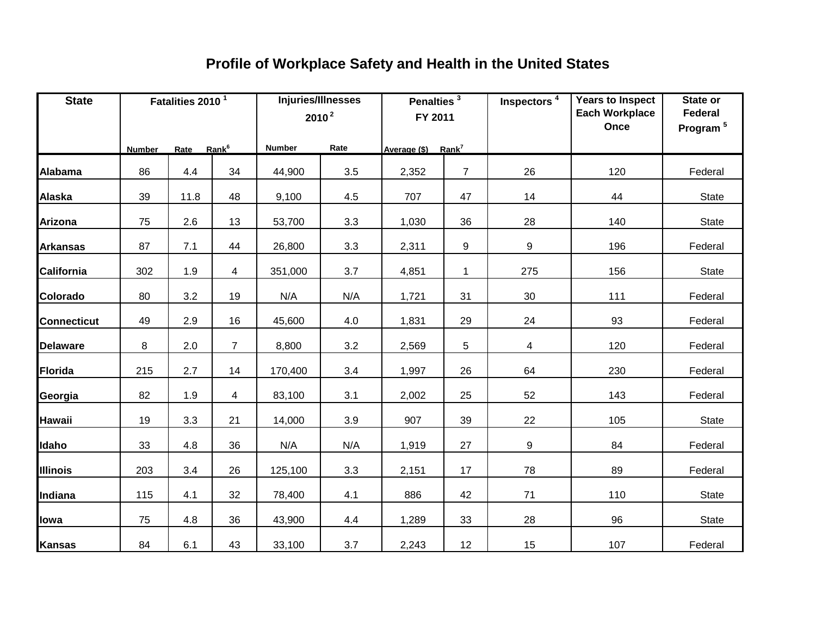| <b>State</b>       |               | Fatalities 2010 <sup>1</sup> |                |               | Injuries/Illnesses<br>$2010^2$ | Penalties <sup>3</sup><br>FY 2011 |                | Inspectors <sup>4</sup> | <b>Years to Inspect</b><br><b>Each Workplace</b><br>Once | State or<br>Federal<br>Program <sup>5</sup> |
|--------------------|---------------|------------------------------|----------------|---------------|--------------------------------|-----------------------------------|----------------|-------------------------|----------------------------------------------------------|---------------------------------------------|
|                    | <b>Number</b> | Rate Rank <sup>6</sup>       |                | <b>Number</b> | Rate                           | Average (\$) Rank <sup>7</sup>    |                |                         |                                                          |                                             |
| <b>Alabama</b>     | 86            | 4.4                          | 34             | 44,900        | 3.5                            | 2,352                             | $\overline{7}$ | 26                      | 120                                                      | Federal                                     |
| <b>Alaska</b>      | 39            | 11.8                         | 48             | 9,100         | 4.5                            | 707                               | 47             | 14                      | 44                                                       | State                                       |
| <b>Arizona</b>     | 75            | 2.6                          | 13             | 53,700        | 3.3                            | 1,030                             | 36             | 28                      | 140                                                      | State                                       |
| <b>Arkansas</b>    | 87            | 7.1                          | 44             | 26,800        | 3.3                            | 2,311                             | 9              | 9                       | 196                                                      | Federal                                     |
| California         | 302           | 1.9                          | $\overline{4}$ | 351,000       | 3.7                            | 4,851                             | $\mathbf{1}$   | 275                     | 156                                                      | <b>State</b>                                |
| Colorado           | 80            | 3.2                          | 19             | N/A           | N/A                            | 1,721                             | 31             | 30                      | 111                                                      | Federal                                     |
| <b>Connecticut</b> | 49            | 2.9                          | 16             | 45,600        | 4.0                            | 1,831                             | 29             | 24                      | 93                                                       | Federal                                     |
| <b>Delaware</b>    | 8             | 2.0                          | $\overline{7}$ | 8,800         | 3.2                            | 2,569                             | 5              | 4                       | 120                                                      | Federal                                     |
| <b>Florida</b>     | 215           | 2.7                          | 14             | 170,400       | 3.4                            | 1,997                             | 26             | 64                      | 230                                                      | Federal                                     |
| Georgia            | 82            | 1.9                          | $\overline{4}$ | 83,100        | 3.1                            | 2,002                             | 25             | 52                      | 143                                                      | Federal                                     |
| <b>Hawaii</b>      | 19            | 3.3                          | 21             | 14,000        | 3.9                            | 907                               | 39             | 22                      | 105                                                      | <b>State</b>                                |
| Idaho              | 33            | 4.8                          | 36             | N/A           | N/A                            | 1,919                             | 27             | 9                       | 84                                                       | Federal                                     |
| Illinois           | 203           | 3.4                          | 26             | 125,100       | 3.3                            | 2,151                             | 17             | 78                      | 89                                                       | Federal                                     |
| Indiana            | 115           | 4.1                          | 32             | 78,400        | 4.1                            | 886                               | 42             | 71                      | 110                                                      | <b>State</b>                                |
| lowa               | 75            | 4.8                          | 36             | 43,900        | 4.4                            | 1,289                             | 33             | 28                      | 96                                                       | <b>State</b>                                |
| <b>Kansas</b>      | 84            | 6.1                          | 43             | 33,100        | 3.7                            | 2,243                             | 12             | 15                      | 107                                                      | Federal                                     |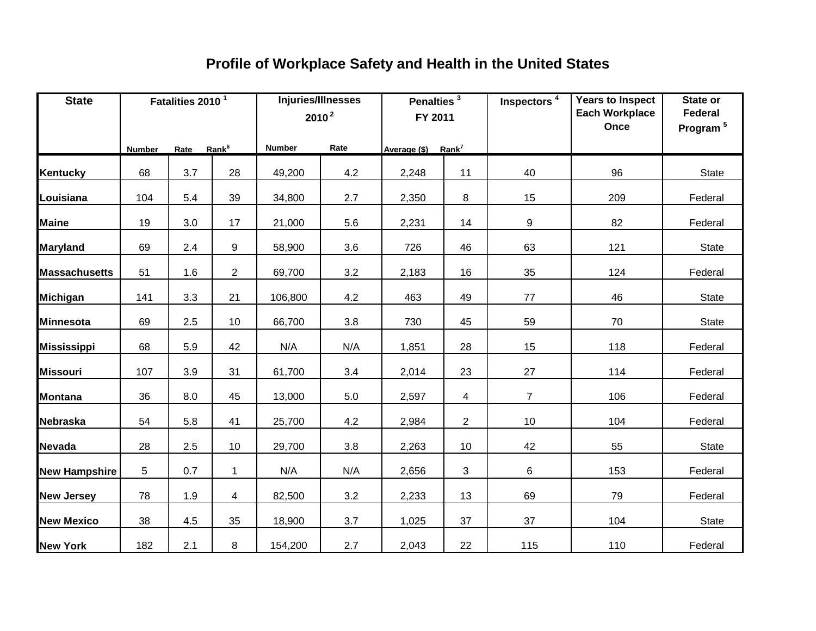| <b>State</b>         |        | Fatalities 2010 <sup>1</sup> |                |               | Injuries/Illnesses<br>$2010^2$ | Penalties $\overline{\textbf{3}}$<br>FY 2011 |                | Inspectors <sup>4</sup> | <b>Years to Inspect</b><br><b>Each Workplace</b><br>Once | State or<br>Federal<br>Program <sup>5</sup> |
|----------------------|--------|------------------------------|----------------|---------------|--------------------------------|----------------------------------------------|----------------|-------------------------|----------------------------------------------------------|---------------------------------------------|
|                      | Number | Rate Rank <sup>6</sup>       |                | <b>Number</b> | Rate                           | Average (\$) Rank <sup>7</sup>               |                |                         |                                                          |                                             |
| <b>Kentucky</b>      | 68     | 3.7                          | 28             | 49,200        | 4.2                            | 2,248                                        | 11             | 40                      | 96                                                       | State                                       |
| Louisiana            | 104    | 5.4                          | 39             | 34,800        | 2.7                            | 2,350                                        | 8              | 15                      | 209                                                      | Federal                                     |
| <b>Maine</b>         | 19     | 3.0                          | 17             | 21,000        | 5.6                            | 2,231                                        | 14             | 9                       | 82                                                       | Federal                                     |
| <b>Maryland</b>      | 69     | 2.4                          | 9              | 58,900        | 3.6                            | 726                                          | 46             | 63                      | 121                                                      | <b>State</b>                                |
| <b>Massachusetts</b> | 51     | 1.6                          | $\overline{2}$ | 69,700        | 3.2                            | 2,183                                        | 16             | 35                      | 124                                                      | Federal                                     |
| <b>Michigan</b>      | 141    | 3.3                          | 21             | 106,800       | 4.2                            | 463                                          | 49             | $77\,$                  | 46                                                       | State                                       |
| <b>Minnesota</b>     | 69     | 2.5                          | 10             | 66,700        | 3.8                            | 730                                          | 45             | 59                      | 70                                                       | State                                       |
| <b>Mississippi</b>   | 68     | 5.9                          | 42             | N/A           | N/A                            | 1,851                                        | 28             | 15                      | 118                                                      | Federal                                     |
| <b>Missouri</b>      | 107    | 3.9                          | 31             | 61,700        | 3.4                            | 2,014                                        | 23             | 27                      | 114                                                      | Federal                                     |
| <b>Montana</b>       | 36     | 8.0                          | 45             | 13,000        | 5.0                            | 2,597                                        | 4              | $\overline{7}$          | 106                                                      | Federal                                     |
| <b>Nebraska</b>      | 54     | 5.8                          | 41             | 25,700        | 4.2                            | 2,984                                        | $\overline{2}$ | 10                      | 104                                                      | Federal                                     |
| <b>Nevada</b>        | 28     | 2.5                          | 10             | 29,700        | 3.8                            | 2,263                                        | 10             | 42                      | 55                                                       | State                                       |
| <b>New Hampshire</b> | 5      | 0.7                          | $\mathbf{1}$   | N/A           | N/A                            | 2,656                                        | 3              | 6                       | 153                                                      | Federal                                     |
| <b>New Jersey</b>    | 78     | 1.9                          | 4              | 82,500        | 3.2                            | 2,233                                        | 13             | 69                      | 79                                                       | Federal                                     |
| <b>New Mexico</b>    | 38     | 4.5                          | 35             | 18,900        | 3.7                            | 1,025                                        | 37             | 37                      | 104                                                      | State                                       |
| <b>New York</b>      | 182    | 2.1                          | 8              | 154,200       | 2.7                            | 2,043                                        | 22             | 115                     | 110                                                      | Federal                                     |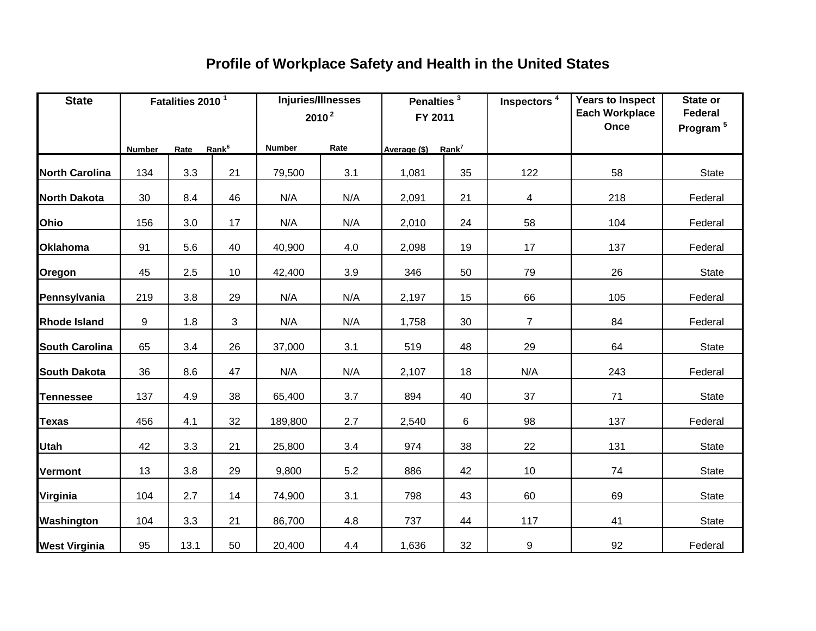| <b>State</b>          | Fatalities 2010 <sup>1</sup> |             |                   |               | Injuries/Illnesses<br>$2010^2$ | Penalties $\frac{3}{3}$<br>FY 2011 |    | Inspectors <sup>4</sup> | <b>Years to Inspect</b><br><b>Each Workplace</b><br>Once | State or<br><b>Federal</b><br>Program <sup>5</sup> |
|-----------------------|------------------------------|-------------|-------------------|---------------|--------------------------------|------------------------------------|----|-------------------------|----------------------------------------------------------|----------------------------------------------------|
|                       | Number                       | <b>Rate</b> | Rank <sup>6</sup> | <b>Number</b> | Rate                           | Average (\$) Rank <sup>7</sup>     |    |                         |                                                          |                                                    |
| <b>North Carolina</b> | 134                          | 3.3         | 21                | 79,500        | 3.1                            | 1,081                              | 35 | 122                     | 58                                                       | <b>State</b>                                       |
| <b>North Dakota</b>   | 30                           | 8.4         | 46                | N/A           | N/A                            | 2,091                              | 21 | 4                       | 218                                                      | Federal                                            |
| Ohio                  | 156                          | 3.0         | 17                | N/A           | N/A                            | 2,010                              | 24 | 58                      | 104                                                      | Federal                                            |
| <b>Oklahoma</b>       | 91                           | 5.6         | 40                | 40,900        | 4.0                            | 2,098                              | 19 | 17                      | 137                                                      | Federal                                            |
| Oregon                | 45                           | 2.5         | 10 <sup>1</sup>   | 42,400        | 3.9                            | 346                                | 50 | 79                      | 26                                                       | <b>State</b>                                       |
| Pennsylvania          | 219                          | 3.8         | 29                | N/A           | N/A                            | 2,197                              | 15 | 66                      | 105                                                      | Federal                                            |
| <b>Rhode Island</b>   | 9                            | 1.8         | 3                 | N/A           | N/A                            | 1,758                              | 30 | $\overline{7}$          | 84                                                       | Federal                                            |
| <b>South Carolina</b> | 65                           | 3.4         | 26                | 37,000        | 3.1                            | 519                                | 48 | 29                      | 64                                                       | <b>State</b>                                       |
| <b>South Dakota</b>   | 36                           | 8.6         | 47                | N/A           | N/A                            | 2,107                              | 18 | N/A                     | 243                                                      | Federal                                            |
| <b>Tennessee</b>      | 137                          | 4.9         | 38                | 65,400        | 3.7                            | 894                                | 40 | 37                      | 71                                                       | <b>State</b>                                       |
| <b>Texas</b>          | 456                          | 4.1         | 32                | 189,800       | 2.7                            | 2,540                              | 6  | 98                      | 137                                                      | Federal                                            |
| <b>Utah</b>           | 42                           | 3.3         | 21                | 25,800        | 3.4                            | 974                                | 38 | 22                      | 131                                                      | State                                              |
| <b>Vermont</b>        | 13                           | 3.8         | 29                | 9,800         | 5.2                            | 886                                | 42 | $10$                    | 74                                                       | <b>State</b>                                       |
| Virginia              | 104                          | 2.7         | 14                | 74,900        | 3.1                            | 798                                | 43 | 60                      | 69                                                       | <b>State</b>                                       |
| Washington            | 104                          | 3.3         | 21                | 86,700        | 4.8                            | 737                                | 44 | 117                     | 41                                                       | <b>State</b>                                       |
| <b>West Virginia</b>  | 95                           | 13.1        | 50                | 20,400        | 4.4                            | 1,636                              | 32 | 9                       | 92                                                       | Federal                                            |